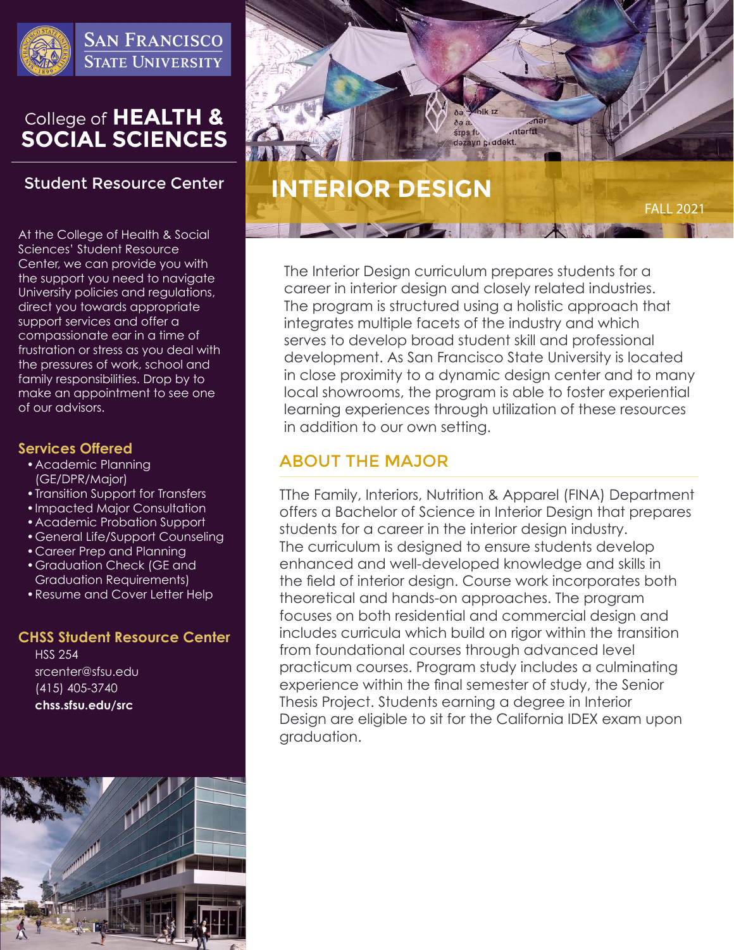

**SAN FRANCISCO STATE UNIVERSITY** 

# College of HEALTH & **SOCIAL SCIENCES**

## **Student Resource Center**

At the College of Health & Social Sciences' Student Resource Center, we can provide you with the support you need to navigate University policies and regulations, direct you towards appropriate support services and offer a compassionate ear in a time of frustration or stress as you deal with the pressures of work, school and family responsibilities. Drop by to make an appointment to see one of our advisors.

### **Services Offered**

- •Academic Planning (GE/DPR/Major)
- •Transition Support for Transfers
- •Impacted Major Consultation
- •Academic Probation Support
- •General Life/Support Counseling
- •Career Prep and Planning
- •Graduation Check (GE and Graduation Requirements)
- •Resume and Cover Letter Help

### **CHSS Student Resource Center**

HSS 254 srcenter@sfsu.edu (415) 405-3740 **chss.sfsu.edu/src**





The Interior Design curriculum prepares students for a career in interior design and closely related industries. The program is structured using a holistic approach that integrates multiple facets of the industry and which serves to develop broad student skill and professional development. As San Francisco State University is located in close proximity to a dynamic design center and to many local showrooms, the program is able to foster experiential learning experiences through utilization of these resources in addition to our own setting.

# ABOUT THE MAJOR

TThe Family, Interiors, Nutrition & Apparel (FINA) Department offers a Bachelor of Science in Interior Design that prepares students for a career in the interior design industry. The curriculum is designed to ensure students develop enhanced and well-developed knowledge and skills in the field of interior design. Course work incorporates both theoretical and hands-on approaches. The program focuses on both residential and commercial design and includes curricula which build on rigor within the transition from foundational courses through advanced level practicum courses. Program study includes a culminating experience within the final semester of study, the Senior Thesis Project. Students earning a degree in Interior Design are eligible to sit for the California IDEX exam upon graduation.